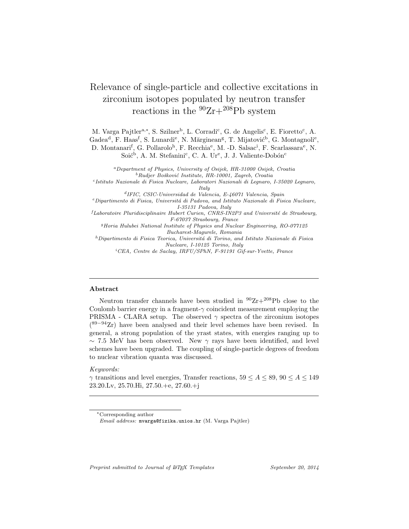# Relevance of single-particle and collective excitations in zirconium isotopes populated by neutron transfer reactions in the  ${}^{90}Zr+{}^{208}Pb$  system

M. Varga Pajtler<sup>a,\*</sup>, S. Szilner<sup>b</sup>, L. Corradi<sup>c</sup>, G. de Angelis<sup>c</sup>, E. Fioretto<sup>c</sup>, A.

Gadea<sup>d</sup>, F. Haas<sup>f</sup>, S. Lunardi<sup>e</sup>, N. Mărginean<sup>g</sup>, T. Mijatović<sup>b</sup>, G. Montagnoli<sup>e</sup>,

D. Montanari<sup>f</sup>, G. Pollarolo<sup>h</sup>, F. Recchia<sup>e</sup>, M. -D. Salsac<sup>i</sup>, F. Scarlassara<sup>e</sup>, N. Soić<sup>b</sup>, A. M. Stefanini<sup>c</sup>, C. A. Ur<sup>e</sup>, J. J. Valiente-Dobón<sup>c</sup>

*<sup>a</sup>Department of Physics, University of Osijek, HR-31000 Osijek, Croatia <sup>b</sup>Rudjer Boˇskovi´c Institute, HR-10001, Zagreb, Croatia*

*c Istituto Nazionale di Fisica Nucleare, Laboratori Nazionali di Legnaro, I-35020 Legnaro, Italy*

*d IFIC, CSIC-Universidad de Valencia, E-46071 Valencia, Spain*

*<sup>e</sup>Dipartimento di Fisica, Universit´a di Padova, and Istituto Nazionale di Fisica Nucleare, I-35131 Padova, Italy*

*<sup>f</sup>Laboratoire Pluridisciplinaire Hubert Curien, CNRS-IN2P3 and Universit´e de Strasbourg, F-67037 Strasbourg, France*

*<sup>g</sup>Horia Hulubei National Institute of Physics and Nuclear Engineering, RO-077125 Bucharest-Magurele, Romania*

*<sup>h</sup>Dipartimento di Fisica Teorica, Universit´a di Torino, and Istituto Nazionale di Fisica Nucleare, I-10125 Torino, Italy*

*<sup>i</sup>CEA, Centre de Saclay, IRFU/SPhN, F-91191 Gif-sur-Yvette, France*

## **Abstract**

Neutron transfer channels have been studied in  $90Zr+208Pb$  close to the Coulomb barrier energy in a fragment-*γ* coincident measurement employing the PRISMA - CLARA setup. The observed  $\gamma$  spectra of the zirconium isotopes ( <sup>89</sup>*−*<sup>94</sup>Zr) have been analysed and their level schemes have been revised. In general, a strong population of the yrast states, with energies ranging up to *∼* 7*.*5 MeV has been observed. New *γ* rays have been identified, and level schemes have been upgraded. The coupling of single-particle degrees of freedom to nuclear vibration quanta was discussed.

## *Keywords:*

*γ* transitions and level energies, Transfer reactions,  $59 \leq A \leq 89$ ,  $90 \leq A \leq 149$ 23.20.Lv, 25.70.Hi, 27.50.+e, 27.60.+j

*Preprint submitted to Journal of LATEX Templates September 20, 2014*

*<sup>∗</sup>*Corresponding author

*Email address:* mvarga@fizika.unios.hr (M. Varga Pajtler)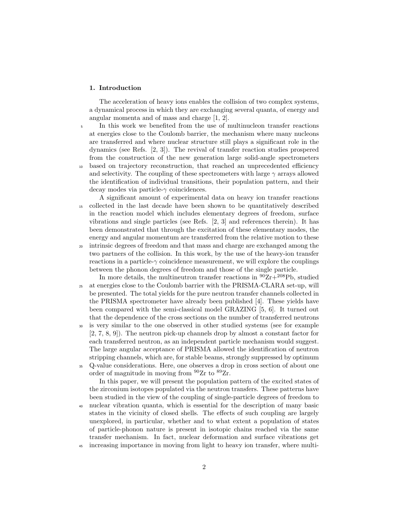# **1. Introduction**

The acceleration of heavy ions enables the collision of two complex systems, a dynamical process in which they are exchanging several quanta, of energy and angular momenta and of mass and charge [1, 2].

<sup>5</sup> In this work we benefited from the use of multinucleon transfer reactions at energies close to the Coulomb barrier, the mechanism where many nucleons are transferred and where nuclear structure still plays a significant role in the dynamics (see Refs. [2, 3]). The revival of transfer reaction studies prospered from the construction of the new generation large solid-angle spectrometers <sup>10</sup> based on trajectory reconstruction, that reached an unprecedented efficiency and selectivity. The coupling of these spectrometers with large  $\gamma$  arrays allowed the identification of individual transitions, their population pattern, and their decay modes via particle-*γ* coincidences.

- A significant amount of experimental data on heavy ion transfer reactions <sup>15</sup> collected in the last decade have been shown to be quantitatively described in the reaction model which includes elementary degrees of freedom, surface vibrations and single particles (see Refs. [2, 3] and references therein). It has been demonstrated that through the excitation of these elementary modes, the energy and angular momentum are transferred from the relative motion to these
- <sup>20</sup> intrinsic degrees of freedom and that mass and charge are exchanged among the two partners of the collision. In this work, by the use of the heavy-ion transfer reactions in a particle- $\gamma$  coincidence measurement, we will explore the couplings between the phonon degrees of freedom and those of the single particle.
- In more details, the multineutron transfer reactions in  ${}^{90}Zr+{}^{208}Pb$ , studied <sup>25</sup> at energies close to the Coulomb barrier with the PRISMA-CLARA set-up, will be presented. The total yields for the pure neutron transfer channels collected in the PRISMA spectrometer have already been published [4]. These yields have been compared with the semi-classical model GRAZING [5, 6]. It turned out that the dependence of the cross sections on the number of transferred neutrons
- <sup>30</sup> is very similar to the one observed in other studied systems (see for example [2, 7, 8, 9]). The neutron pick-up channels drop by almost a constant factor for each transferred neutron, as an independent particle mechanism would suggest. The large angular acceptance of PRISMA allowed the identification of neutron stripping channels, which are, for stable beams, strongly suppressed by optimum
- <sup>35</sup> Q-value considerations. Here, one observes a drop in cross section of about one order of magnitude in moving from  $90Zr$  to  $89Zr$ .

In this paper, we will present the population pattern of the excited states of the zirconium isotopes populated via the neutron transfers. These patterns have been studied in the view of the coupling of single-particle degrees of freedom to

<sup>40</sup> nuclear vibration quanta, which is essential for the description of many basic states in the vicinity of closed shells. The effects of such coupling are largely unexplored, in particular, whether and to what extent a population of states of particle-phonon nature is present in isotopic chains reached via the same transfer mechanism. In fact, nuclear deformation and surface vibrations get <sup>45</sup> increasing importance in moving from light to heavy ion transfer, where multi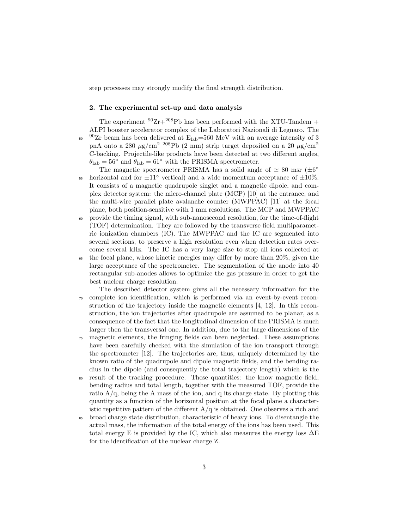step processes may strongly modify the final strength distribution.

## **2. The experimental set-up and data analysis**

The experiment  $90Zr+208Pb$  has been performed with the XTU-Tandem + ALPI booster accelerator complex of the Laboratori Nazionali di Legnaro. The <sup>90</sup>Zr beam has been delivered at  $E_{lab} = 560$  MeV with an average intensity of 3 pnA onto a 280  $\mu$ g/cm<sup>2</sup> <sup>208</sup>Pb (2 mm) strip target deposited on a 20  $\mu$ g/cm<sup>2</sup> C-backing. Projectile-like products have been detected at two different angles,  $\theta_{\rm lab} = 56^\circ$  and  $\theta_{\rm lab} = 61^\circ$  with the PRISMA spectrometer.

- The magnetic spectrometer PRISMA has a solid angle of *≃* 80 msr (*±*6 *◦* 55 horizontal and for  $±11°$  vertical) and a wide momentum acceptance of  $±10\%$ . It consists of a magnetic quadrupole singlet and a magnetic dipole, and complex detector system: the micro-channel plate (MCP) [10] at the entrance, and the multi-wire parallel plate avalanche counter (MWPPAC) [11] at the focal plane, both position-sensitive with 1 mm resolutions. The MCP and MWPPAC
- <sup>60</sup> provide the timing signal, with sub-nanosecond resolution, for the time-of-flight (TOF) determination. They are followed by the transverse field multiparametric ionization chambers (IC). The MWPPAC and the IC are segmented into several sections, to preserve a high resolution even when detection rates overcome several kHz. The IC has a very large size to stop all ions collected at
- <sup>65</sup> the focal plane, whose kinetic energies may differ by more than 20%, given the large acceptance of the spectrometer. The segmentation of the anode into 40 rectangular sub-anodes allows to optimize the gas pressure in order to get the best nuclear charge resolution.
- The described detector system gives all the necessary information for the <sup>70</sup> complete ion identification, which is performed via an event-by-event reconstruction of the trajectory inside the magnetic elements [4, 12]. In this reconstruction, the ion trajectories after quadrupole are assumed to be planar, as a consequence of the fact that the longitudinal dimension of the PRISMA is much larger then the transversal one. In addition, due to the large dimensions of the
- <sup>75</sup> magnetic elements, the fringing fields can been neglected. These assumptions have been carefully checked with the simulation of the ion transport through the spectrometer [12]. The trajectories are, thus, uniquely determined by the known ratio of the quadrupole and dipole magnetic fields, and the bending radius in the dipole (and consequently the total trajectory length) which is the
- <sup>80</sup> result of the tracking procedure. These quantities: the know magnetic field, bending radius and total length, together with the measured TOF, provide the ratio  $A/q$ , being the A mass of the ion, and q its charge state. By plotting this quantity as a function of the horizontal position at the focal plane a characteristic repetitive pattern of the different  $A/q$  is obtained. One observes a rich and
- <sup>85</sup> broad charge state distribution, characteristic of heavy ions. To disentangle the actual mass, the information of the total energy of the ions has been used. This total energy E is provided by the IC, which also measures the energy loss  $\Delta E$ for the identification of the nuclear charge Z.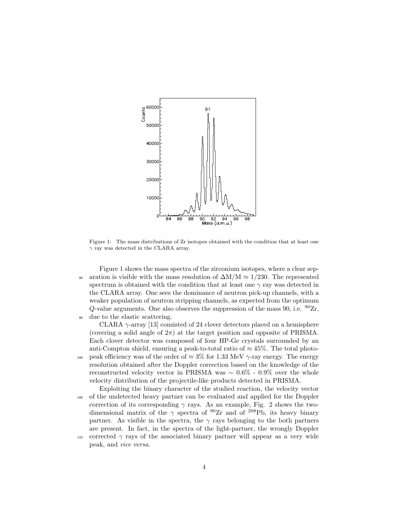

Figure 1: The mass distributions of Zr isotopes obtained with the condition that at least one *γ* ray was detected in the CLARA array.

Figure 1 shows the mass spectra of the zirconium isotopes, where a clear sep-<sup>90</sup> aration is visible with the mass resolution of ∆M/M *≈* 1/230. The represented spectrum is obtained with the condition that at least one *γ* ray was detected in the CLARA array. One sees the dominance of neutron pick-up channels, with a weaker population of neutron stripping channels, as expected from the optimum *Q*-value arguments. One also observes the suppression of the mass 90, i.e.  $^{90}Zr$ , <sup>95</sup> due to the elastic scattering.

CLARA *γ*-array [13] consisted of 24 clover detectors placed on a hemisphere (covering a solid angle of  $2\pi$ ) at the target position and opposite of PRISMA. Each clover detector was composed of four HP-Ge crystals surrounded by an anti-Compton shield, ensuring a peak-to-total ratio of *≈* 45%. The total photo-<sup>100</sup> peak efficiency was of the order of *≈* 3% for 1.33 MeV *γ*-ray energy. The energy resolution obtained after the Doppler correction based on the knowledge of the reconstructed velocity vector in PRISMA was *∼* 0.6% - 0.9% over the whole velocity distribution of the projectile-like products detected in PRISMA.

Exploiting the binary character of the studied reaction, the velocity vector <sup>105</sup> of the undetected heavy partner can be evaluated and applied for the Doppler correction of its corresponding  $\gamma$  rays. As an example, Fig. 2 shows the twodimensional matrix of the *γ* spectra of <sup>90</sup>Zr and of <sup>208</sup>Pb, its heavy binary partner. As visible in the spectra, the  $\gamma$  rays belonging to the both partners are present. In fact, in the spectra of the light-partner, the wrongly Doppler 110 corrected  $\gamma$  rays of the associated binary partner will appear as a very wide peak, and *vice versa*.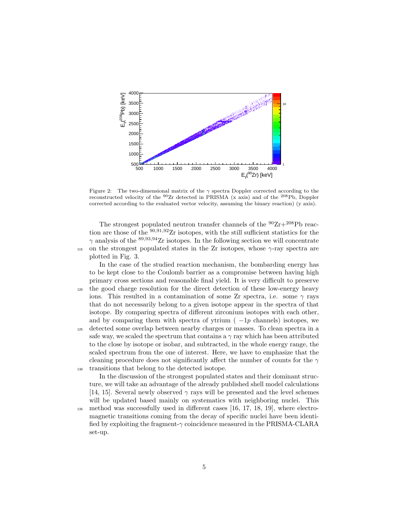

Figure 2: The two-dimensional matrix of the *γ* spectra Doppler corrected according to the reconstructed velocity of the  ${}^{90}Zr$  detected in PRISMA (x axis) and of the  ${}^{208}Pb$ , Doppler corrected according to the evaluated vector velocity, assuming the binary reaction) (y axis).

The strongest populated neutron transfer channels of the  $^{90}{\rm Zr}+^{208}{\rm Pb}$  reaction are those of the <sup>90</sup>*,*91*,*<sup>92</sup>Zr isotopes, with the still sufficient statistics for the *γ* analysis of the <sup>89,93,94</sup>Zr isotopes. In the following section we will concentrate 115 on the strongest populated states in the Zr isotopes, whose  $\gamma$ -ray spectra are plotted in Fig. 3.

In the case of the studied reaction mechanism, the bombarding energy has to be kept close to the Coulomb barrier as a compromise between having high primary cross sections and reasonable final yield. It is very difficult to preserve <sup>120</sup> the good charge resolution for the direct detection of these low-energy heavy ions. This resulted in a contamination of some Zr spectra, i.e. some  $\gamma$  rays that do not necessarily belong to a given isotope appear in the spectra of that isotope. By comparing spectra of different zirconium isotopes with each other, and by comparing them with spectra of ytrium ( *−*1*p* channels) isotopes, we <sup>125</sup> detected some overlap between nearby charges or masses. To clean spectra in a safe way, we scaled the spectrum that contains a  $\gamma$  ray which has been attributed to the close by isotope or isobar, and subtracted, in the whole energy range, the scaled spectrum from the one of interest. Here, we have to emphasize that the cleaning procedure does not significantly affect the number of counts for the *γ* <sup>130</sup> transitions that belong to the detected isotope.

In the discussion of the strongest populated states and their dominant structure, we will take an advantage of the already published shell model calculations [14, 15]. Several newly observed  $\gamma$  rays will be presented and the level schemes will be updated based mainly on systematics with neighboring nuclei. This <sup>135</sup> method was successfully used in different cases [16, 17, 18, 19], where electromagnetic transitions coming from the decay of specific nuclei have been identi-

fied by exploiting the fragment-*γ* coincidence measured in the PRISMA-CLARA set-up.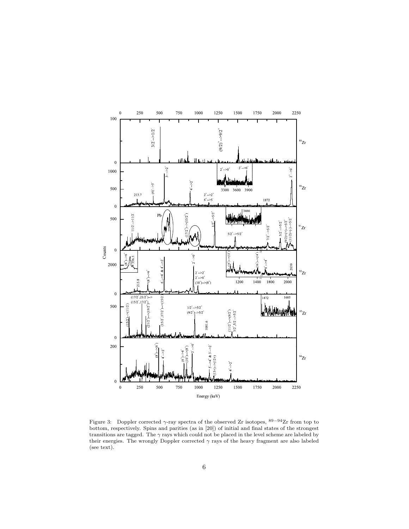

Figure 3: Doppler corrected *γ*-ray spectra of the observed Zr isotopes, <sup>89</sup>*−*94Zr from top to bottom, respectively. Spins and parities (as in [20]) of initial and final states of the strongest transitions are tagged. The *γ* rays which could not be placed in the level scheme are labeled by their energies. The wrongly Doppler corrected  $\gamma$  rays of the heavy fragment are also labeled (see text).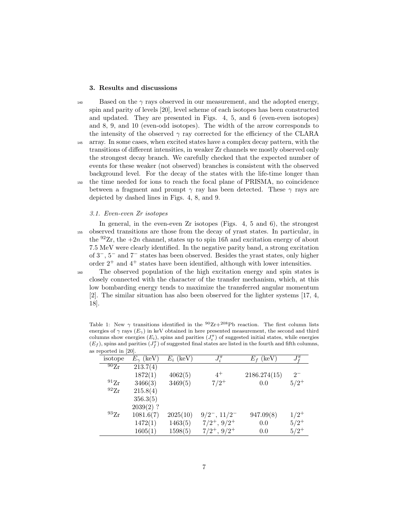## **3. Results and discussions**

 $_{140}$  Based on the  $\gamma$  rays observed in our measurement, and the adopted energy, spin and parity of levels [20], level scheme of each isotopes has been constructed and updated. They are presented in Figs. 4, 5, and 6 (even-even isotopes) and 8, 9, and 10 (even-odd isotopes). The width of the arrow corresponds to the intensity of the observed  $\gamma$  ray corrected for the efficiency of the CLARA <sup>145</sup> array. In some cases, when excited states have a complex decay pattern, with the transitions of different intensities, in weaker Zr channels we mostly observed only the strongest decay branch. We carefully checked that the expected number of events for these weaker (not observed) branches is consistent with the observed background level. For the decay of the states with the life-time longer than <sup>150</sup> the time needed for ions to reach the focal plane of PRISMA, no coincidence between a fragment and prompt  $\gamma$  ray has been detected. These  $\gamma$  rays are depicted by dashed lines in Figs. 4, 8, and 9.

# *3.1. Even-even Zr isotopes*

In general, in the even-even Zr isotopes (Figs. 4, 5 and 6), the strongest <sup>155</sup> observed transitions are those from the decay of yrast states. In particular, in the  $92Zr$ , the  $+2n$  channel, states up to spin 16 $\hbar$  and excitation energy of about 7.5 MeV were clearly identified. In the negative parity band, a strong excitation of 3*−*, 5*<sup>−</sup>* and 7*<sup>−</sup>* states has been observed. Besides the yrast states, only higher order  $2^+$  and  $4^+$  states have been identified, although with lower intensities.

<sup>160</sup> The observed population of the high excitation energy and spin states is closely connected with the character of the transfer mechanism, which, at this low bombarding energy tends to maximize the transferred angular momentum [2]. The similar situation has also been observed for the lighter systems [17, 4, 18].

| reported in [20].  |                    |             |                    |              |               |
|--------------------|--------------------|-------------|--------------------|--------------|---------------|
| isotope            | $E_{\gamma}$ (keV) | $E_i$ (keV) | $J_i^{\pi}$        | $E_f$ (keV)  | $J^{\pi}_{f}$ |
| $^{90}Zr$          | 213.7(4)           |             |                    |              |               |
|                    | 1872(1)            | 4062(5)     | $4^+$              | 2186.274(15) | $2^{-}$       |
| $^{91}Zr$          | 3466(3)            | 3469(5)     | $7/2^+$            | 0.0          | $5/2^+$       |
| $^{92}Zr$          | 215.8(4)           |             |                    |              |               |
|                    | 356.3(5)           |             |                    |              |               |
|                    | $2039(2)$ ?        |             |                    |              |               |
| $^{93}\mathrm{Zr}$ | 1081.6(7)          | 2025(10)    | $9/2^-$ , $11/2^-$ | 947.09(8)    | $1/2^+$       |
|                    | 1472(1)            | 1463(5)     | $7/2^+, 9/2^+$     | 0.0          | $5/2^+$       |
|                    | 1605(1)            | 1598(5)     | $7/2^+, 9/2^+$     | 0.0          | $5/2^+$       |

Table 1: New  $\gamma$  transitions identified in the <sup>90</sup>Zr+<sup>208</sup>Pb reaction. The first column lists energies of  $\gamma$  rays  $(E_{\gamma})$  in keV obtained in here presented measurement, the second and third columns show energies  $(E_i)$ , spins and parities  $(J_i^{\pi})$  of suggested initial states, while energies  $(E_f)$ , spins and parities  $(J_f^{\pi})$  of suggested final states are listed in the fourth and fifth columns, as r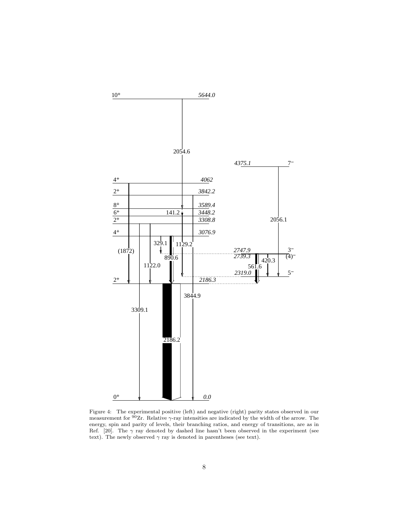

Figure 4: The experimental positive (left) and negative (right) parity states observed in our measurement for  $90Zr$ . Relative  $\gamma$ -ray intensities are indicated by the width of the arrow. The energy, spin and parity of levels, their branching ratios, and energy of transitions, are as in Ref. [20]. The  $\gamma$  ray denoted by dashed line hasn't been observed in the experiment (see text). The newly observed  $\gamma$  ray is denoted in parentheses (see text).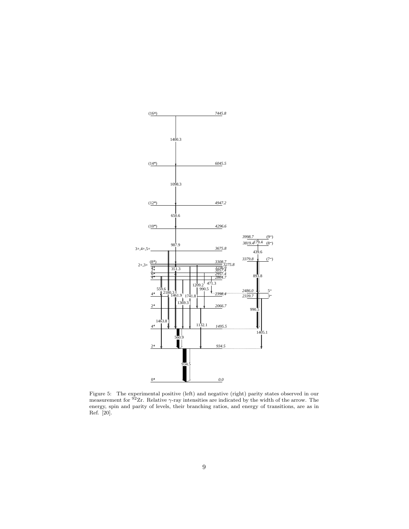

Figure 5: The experimental positive (left) and negative (right) parity states observed in our measurement for <sup>92</sup>Zr. Relative  $\gamma$ -ray intensities are indicated by the width of the arrow. The energy, spin and parity of levels, their branching ratios, and energy of transitions, are as in Ref. [20].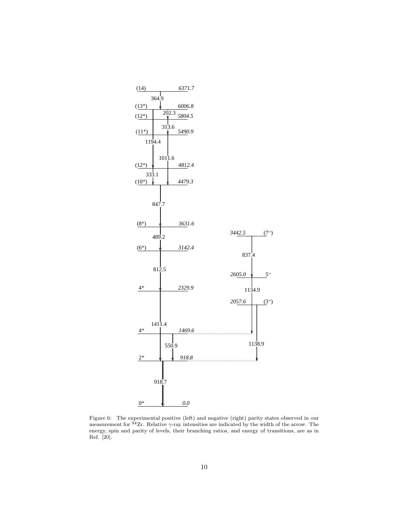

Figure 6: The experimental positive (left) and negative (right) parity states observed in our measurement for <sup>94</sup>Zr. Relative *γ*-ray intensities are indicated by the width of the arrow. The energy, spin and parity of levels, their branching ratios, and energy of transitions, are as in Ref. [20].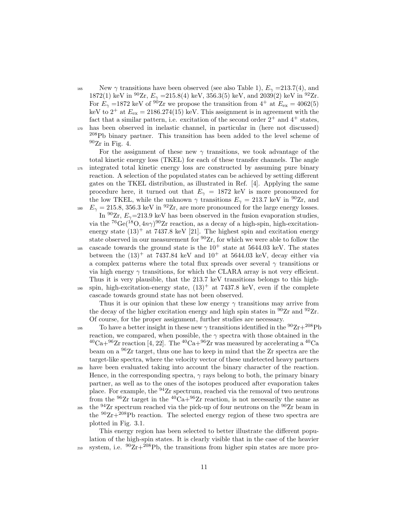New  $\gamma$  transitions have been observed (see also Table 1),  $E_{\gamma} = 213.7(4)$ , and 1872(1) keV in <sup>90</sup>Zr,  $E_{\gamma}$  =215.8(4) keV, 356.3(5) keV, and 2039(2) keV in <sup>92</sup>Zr. For  $E_{\gamma}$  =1872 keV of <sup>90</sup>Zr we propose the transition from 4<sup>+</sup> at  $E_{\text{ex}}$  = 4062(5) keV to  $2^+$  at  $E_{ex} = 2186.274(15)$  keV. This assignment is in agreement with the fact that a similar pattern, i.e. excitation of the second order  $2^+$  and  $4^+$  states, <sup>170</sup> has been observed in inelastic channel, in particular in (here not discussed)  $^{208}Pb$  binary partner. This transition has been added to the level scheme of  $90Zr$  in Fig. 4.

For the assignment of these new  $\gamma$  transitions, we took advantage of the total kinetic energy loss (TKEL) for each of these transfer channels. The angle <sup>175</sup> integrated total kinetic energy loss are constructed by assuming pure binary reaction. A selection of the populated states can be achieved by setting different gates on the TKEL distribution, as illustrated in Ref. [4]. Applying the same procedure here, it turned out that  $E_\gamma = 1872$  keV is more pronounced for the low TKEL, while the unknown  $\gamma$  transitions  $E_{\gamma} = 213.7 \text{ keV}$  in <sup>90</sup>Zr, and <sup>180</sup>  $E_{\gamma} = 215.8, 356.3 \text{ keV in } ^{92}\text{Zr}$ , are more pronounced for the large energy losses. In  $^{90}Zr$ ,  $E_{\gamma}$ =213.9 keV has been observed in the fusion evaporation studies,

via the  ${}^{76}Ge({}^{18}O, 4n\gamma){}^{90}Zr$  reaction, as a decay of a high-spin, high-excitationenergy state  $(13)^+$  at 7437.8 keV [21]. The highest spin and excitation energy state observed in our measurement for <sup>90</sup>Zr, for which we were able to follow the <sup>185</sup> cascade towards the ground state is the  $10^+$  state at 5644.03 keV. The states between the  $(13)^+$  at 7437.84 keV and  $10^+$  at 5644.03 keV, decay either via a complex patterns where the total flux spreads over several *γ* transitions or via high energy  $\gamma$  transitions, for which the CLARA array is not very efficient. Thus it is very plausible, that the 213.7 keV transitions belongs to this highspin, high-excitation-energy state,  $(13)^+$  at 7437.8 keV, even if the complete cascade towards ground state has not been observed.

Thus it is our opinion that these low energy *γ* transitions may arrive from the decay of the higher excitation energy and high spin states in  $90Zr$  and  $92Zr$ . Of course, for the proper assignment, further studies are necessary.

195 To have a better insight in these new  $\gamma$  transitions identified in the  ${}^{90}Zr+{}^{208}Pb$ reaction, we compared, when possible, the  $\gamma$  spectra with those obtained in the  ${}^{40}Ca+{}^{96}Zr$  reaction [4, 22]. The  ${}^{40}Ca+{}^{96}Zr$  was measured by accelerating a  ${}^{40}Ca$ beam on a <sup>96</sup>Zr target, thus one has to keep in mind that the Zr spectra are the target-like spectra, where the velocity vector of these undetected heavy partners

- <sup>200</sup> have been evaluated taking into account the binary character of the reaction. Hence, in the corresponding spectra,  $\gamma$  rays belong to both, the primary binary partner, as well as to the ones of the isotopes produced after evaporation takes place. For example, the <sup>94</sup>Zr spectrum, reached via the removal of two neutrons from the  $96Zr$  target in the  $40Ca+96Zr$  reaction, is not necessarily the same as <sup>205</sup> the <sup>94</sup>Zr spectrum reached via the pick-up of four neutrons on the <sup>90</sup>Zr beam in
- the  $90Zr+208Pb$  reaction. The selected energy region of these two spectra are plotted in Fig. 3.1.

This energy region has been selected to better illustrate the different population of the high-spin states. It is clearly visible that in the case of the heavier <sup>210</sup> system, i.e.  $^{90}Zr+^{208}Pb$ , the transitions from higher spin states are more pro-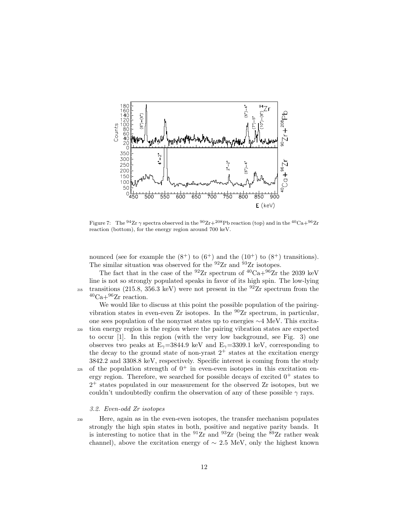

Figure 7: The <sup>94</sup>Zr  $\gamma$  spectra observed in the <sup>90</sup>Zr+<sup>208</sup>Pb reaction (top) and in the <sup>40</sup>Ca+<sup>96</sup>Zr reaction (bottom), for the energy region around 700 keV.

nounced (see for example the  $(8^+)$  to  $(6^+)$  and the  $(10^+)$  to  $(8^+)$  transitions). The similar situation was observed for the  $92Zr$  and  $93Zr$  isotopes.

The fact that in the case of the <sup>92</sup>Zr spectrum of <sup>40</sup>Ca+<sup>96</sup>Zr the 2039 keV line is not so strongly populated speaks in favor of its high spin. The low-lying <sup>215</sup> transitions (215.8, 356.3 keV) were not present in the <sup>92</sup>Zr spectrum from the  ${}^{40}Ca+{}^{96}Zr$  reaction.

We would like to discuss at this point the possible population of the pairingvibration states in even-even Zr isotopes. In the  $^{90}Zr$  spectrum, in particular, one sees population of the nonyrast states up to energies *∼*4 MeV. This excita-<sup>220</sup> tion energy region is the region where the pairing vibration states are expected to occur [1]. In this region (with the very low background, see Fig. 3) one observes two peaks at  $E_{\gamma}$ =3844.9 keV and  $E_{\gamma}$ =3309.1 keV, corresponding to the decay to the ground state of non-yrast  $2^+$  states at the excitation energy 3842.2 and 3308.8 keV, respectively. Specific interest is coming from the study  $_{225}$  of the population strength of  $0^+$  in even-even isotopes in this excitation en-

ergy region. Therefore, we searched for possible decays of excited  $0^+$  states to 2 <sup>+</sup> states populated in our measurement for the observed Zr isotopes, but we couldn't undoubtedly confirm the observation of any of these possible  $\gamma$  rays.

#### *3.2. Even-odd Zr isotopes*

<sup>230</sup> Here, again as in the even-even isotopes, the transfer mechanism populates strongly the high spin states in both, positive and negative parity bands. It is interesting to notice that in the  $91Zr$  and  $93Zr$  (being the  $89Zr$  rather weak channel), above the excitation energy of  $\sim 2.5$  MeV, only the highest known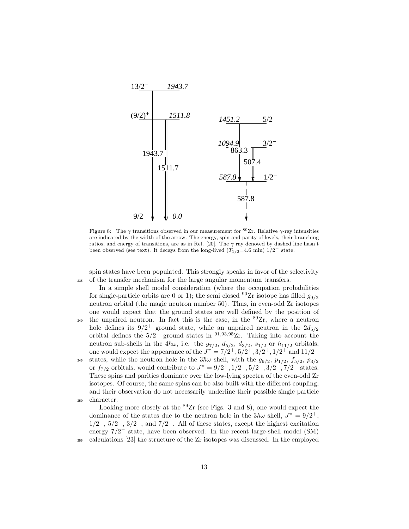

Figure 8: The  $\gamma$  transitions observed in our measurement for <sup>89</sup>Zr. Relative  $\gamma$ -ray intensities are indicated by the width of the arrow. The energy, spin and parity of levels, their branching ratios, and energy of transitions, are as in Ref. [20]. The *γ* ray denoted by dashed line hasn't been observed (see text). It decays from the long-lived  $(T_{1/2}=4.6 \text{ min})$  1/2<sup>*−*</sup> state.

spin states have been populated. This strongly speaks in favor of the selectivity <sup>235</sup> of the transfer mechanism for the large angular momentum transfers.

In a simple shell model consideration (where the occupation probabilities for single-particle orbits are 0 or 1); the semi closed <sup>90</sup>Zr isotope has filled  $g_{9/2}$ neutron orbital (the magic neutron number 50). Thus, in even-odd Zr isotopes one would expect that the ground states are well defined by the position of <sup>240</sup> the unpaired neutron. In fact this is the case, in the  $89Zr$ , where a neutron hole defines its  $9/2^+$  ground state, while an unpaired neutron in the  $2d_{5/2}$ orbital defines the 5*/*2 <sup>+</sup> ground states in <sup>91</sup>*,*93*,*<sup>95</sup>Zr. Taking into account the neutron sub-shells in the  $4\hbar\omega$ , i.e. the  $g_{7/2}$ ,  $d_{5/2}$ ,  $d_{3/2}$ ,  $s_{1/2}$  or  $h_{11/2}$  orbitals, one would expect the appearance of the  $J^{\pi} = 7/2^+, 5/2^+, 3/2^+, 1/2^+$  and  $11/2^-$ <sup>245</sup> states, while the neutron hole in the  $3\hbar\omega$  shell, with the  $g_{9/2}$ ,  $p_{1/2}$ ,  $f_{5/2}$ ,  $p_{3/2}$ or  $f_{7/2}$  orbitals, would contribute to  $J^{\pi} = 9/2^+, 1/2^-, 5/2^-, 3/2^-, 7/2^-$  states. These spins and parities dominate over the low-lying spectra of the even-odd Zr isotopes. Of course, the same spins can be also built with the different coupling, and their observation do not necessarily underline their possible single particle <sup>250</sup> character.

Looking more closely at the  ${}^{89}Zr$  (see Figs. 3 and 8), one would expect the dominance of the states due to the neutron hole in the  $3h\omega$  shell,  $J^{\pi} = 9/2^{+}$ , 1*/*2 *<sup>−</sup>*, 5*/*2 *<sup>−</sup>*, 3*/*2 *<sup>−</sup>*, and 7*/*2 *<sup>−</sup>*. All of these states, except the highest excitation energy 7*/*2 *<sup>−</sup>* state, have been observed. In the recent large-shell model (SM) <sup>255</sup> calculations [23] the structure of the Zr isotopes was discussed. In the employed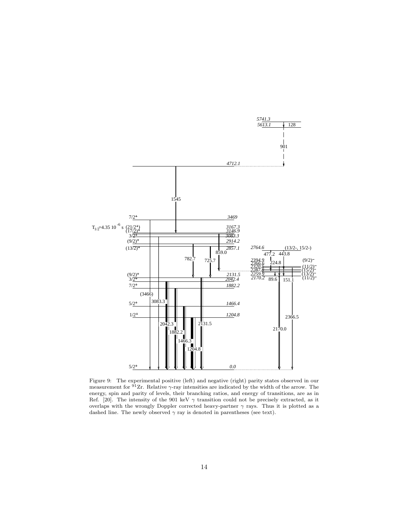

Figure 9: The experimental positive (left) and negative (right) parity states observed in our measurement for <sup>91</sup>Zr. Relative *γ*-ray intensities are indicated by the width of the arrow. The energy, spin and parity of levels, their branching ratios, and energy of transitions, are as in Ref. [20]. The intensity of the 901 keV *γ* transition could not be precisely extracted, as it overlaps with the wrongly Doppler corrected heavy-partner  $\gamma$  rays. Thus it is plotted as a dashed line. The newly observed  $\gamma$  ray is denoted in parentheses (see text).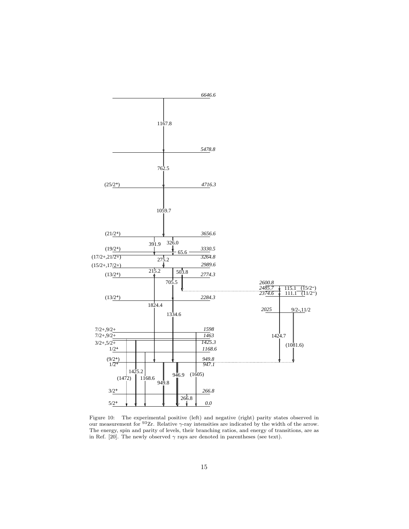

Figure 10: The experimental positive (left) and negative (right) parity states observed in our measurement for <sup>93</sup>Zr. Relative *γ*-ray intensities are indicated by the width of the arrow. The energy, spin and parity of levels, their branching ratios, and energy of transitions, are as in Ref. [20]. The newly observed  $\gamma$  rays are denoted in parentheses (see text).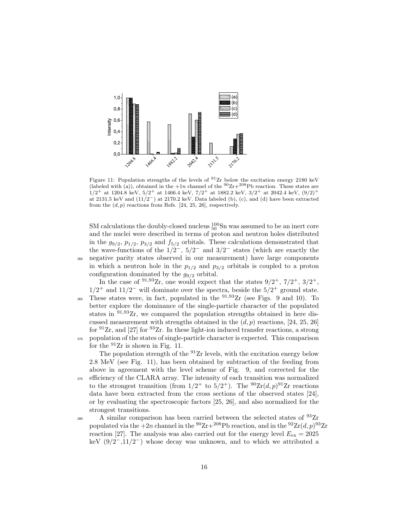

Figure 11: Population strengths of the levels of  $91$  Zr below the excitation energy 2180 keV (labeled with (a)), obtained in the  $+1n$  channel of the  $90Zr+208Pb$  reaction. These states are  $1/2$ <sup>+</sup> at 1204.8 keV,  $5/2$ <sup>+</sup> at 1466.4 keV,  $7/2$ <sup>+</sup> at 1882.2 keV,  $3/2$ <sup>+</sup> at 2042.4 keV,  $(9/2)$ <sup>+</sup> at 2131.5 keV and (11*/*2*−*) at 2170.2 keV. Data labeled (b), (c), and (d) have been extracted from the  $(d, p)$  reactions from Refs. [24, 25, 26], respectively.

SM calculations the doubly-closed nucleus  $_{50}^{100}$ Sn was assumed to be an inert core and the nuclei were described in terms of proton and neutron holes distributed in the  $g_{9/2}, p_{1/2}, p_{3/2}$  and  $f_{5/2}$  orbitals. These calculations demonstrated that the wave-functions of the  $1/2^-$ ,  $5/2^-$  and  $3/2^-$  states (which are exactly the <sup>260</sup> negative parity states observed in our measurement) have large components in which a neutron hole in the  $p_{1/2}$  and  $p_{3/2}$  orbitals is coupled to a proton configuration dominated by the *g*9*/*<sup>2</sup> orbital.

In the case of <sup>91,93</sup>Zr, one would expect that the states  $9/2^+$ ,  $7/2^+$ ,  $3/2^+$ ,  $1/2^+$  and  $11/2^-$  will dominate over the spectra, beside the  $5/2^+$  ground state. <sup>265</sup> These states were, in fact, populated in the <sup>91,93</sup>Zr (see Figs. 9 and 10). To better explore the dominance of the single-particle character of the populated states in <sup>91</sup>*,*<sup>93</sup>Zr, we compared the population strengths obtained in here discussed measurement with strengths obtained in the (*d, p*) reactions, [24, 25, 26] for  $91Zr$ , and [27] for  $93Zr$ . In these light-ion induced transfer reactions, a strong <sup>270</sup> population of the states of single-particle character is expected. This comparison for the  $91$ Ir is shown in Fig. 11.

The population strength of the  $91$ Ir levels, with the excitation energy below 2.8 MeV (see Fig. 11), has been obtained by subtraction of the feeding from above in agreement with the level scheme of Fig. 9, and corrected for the <sup>275</sup> efficiency of the CLARA array. The intensity of each transition was normalized to the strongest transition (from  $1/2^+$  to  $5/2^+$ ). The <sup>90</sup> $\text{Zr}(d, p)$ <sup>91</sup> $\text{Zr}$  reactions data have been extracted from the cross sections of the observed states [24], or by evaluating the spectroscopic factors [25, 26], and also normalized for the strongest transitions.

<sup>280</sup> A similar comparison has been carried between the selected states of  $^{93}Zr$ populated via the  $+2n$  channel in the <sup>90</sup>Zr $+^{208}$ Pb reaction, and in the <sup>92</sup>Zr $(d, p)$ <sup>93</sup>Zr reaction [27]. The analysis was also carried out for the energy level  $E_{\text{ex}} = 2025$ keV (9/2*−*,11/2*−*) whose decay was unknown, and to which we attributed a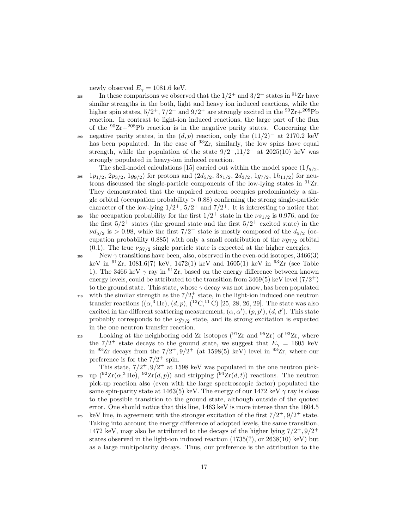newly observed  $E_{\gamma} = 1081.6 \text{ keV}.$ 

- 285 In these comparisons we observed that the  $1/2^+$  and  $3/2^+$  states in <sup>91</sup>Zr have similar strengths in the both, light and heavy ion induced reactions, while the higher spin states,  $5/2^+$ ,  $7/2^+$  and  $9/2^+$  are strongly excited in the  ${}^{90}Zr+{}^{208}Pb$ reaction. In contrast to light-ion induced reactions, the large part of the flux of the  $90Zr+208Pb$  reaction is in the negative parity states. Concerning the negative parity states, in the  $(d, p)$  reaction, only the  $(11/2)^{-}$  at 2170.2 keV has been populated. In the case of  $93Zr$ , similarly, the low spins have equal strength, while the population of the state  $9/2$ , $11/2$  at 2025(10) keV was strongly populated in heavy-ion induced reaction.
- The shell-model calculations [15] carried out within the model space  $(1f_{5/2},$  $295 \quad 1p_{1/2}, 2p_{3/2}, 1g_{9/2}$  for protons and  $(2d_{5/2}, 3s_{1/2}, 2d_{3/2}, 1g_{7/2}, 1h_{11/2})$  for neutrons discussed the single-particle components of the low-lying states in  $^{91}Zr$ . They demonstrated that the unpaired neutron occupies predominately a single orbital (occupation probability  $> 0.88$ ) confirming the strong single-particle character of the low-lying  $1/2^+$ ,  $5/2^+$  and  $7/2^+$ . It is interesting to notice that the occupation probability for the first  $1/2^+$  state in the  $\nu s_{1/2}$  is 0.976, and for
- the first  $5/2^+$  states (the ground state and the first  $5/2^+$  excited state) in the  $\nu d_{5/2}$  is  $> 0.98$ , while the first  $7/2^+$  state is mostly composed of the  $d_{5/2}$  (occupation probability 0.885) with only a small contribution of the  $\nu g_{7/2}$  orbital (0.1). The true  $\nu g_{7/2}$  single particle state is expected at the higher energies.
- $\frac{305}{205}$  New  $\gamma$  transitions have been, also, observed in the even-odd isotopes, 3466(3) keV in  $^{91}Zr$ , 1081.6(7) keV, 1472(1) keV and 1605(1) keV in  $^{93}Zr$  (see Table 1). The 3466 keV  $\gamma$  ray in <sup>91</sup>Zr, based on the energy difference between known energy levels, could be attributed to the transition from  $3469(5)$  keV level  $(7/2^+)$ to the ground state. This state, whose *γ* decay was not know, has been populated
- <sup>310</sup> with the similar strength as the  $7/2<sub>1</sub><sup>+</sup>$  state, in the light-ion induced one neutron transfer reactions  $((\alpha,^3 \text{He}), (d, p), (^{12}\text{C},^{11}\text{C})$  [25, 28, 26, 29]. The state was also excited in the different scattering measurement,  $(\alpha, \alpha')$ ,  $(p, p')$ ,  $(d, d')$ . This state probably corresponds to the *νg*7*/*<sup>2</sup> state, and its strong excitation is expected in the one neutron transfer reaction.
- $_{315}$  Looking at the neighboring odd Zr isotopes ( $^{91}Zr$  and  $^{95}Zr$ ) of  $^{93}Zr$ , where the  $7/2^+$  state decays to the ground state, we suggest that  $E_\gamma = 1605 \text{ keV}$ in <sup>93</sup>Zr decays from the  $7/2^+$ ,  $9/2^+$  (at 1598(5) keV) level in <sup>93</sup>Zr, where our preference is for the  $7/2^+$  spin.

This state,  $7/2^+, 9/2^+$  at 1598 keV was populated in the one neutron pick-<sup>320</sup> up  $(^{92}Zr(\alpha,^3\text{He}), \frac{92Zr(d, p)}{2}$  and stripping  $(^{94}Zr(d, t))$  reactions. The neutron pick-up reaction also (even with the large spectroscopic factor) populated the same spin-parity state at 1463(5) keV. The energy of our 1472 keV  $\gamma$  ray is close to the possible transition to the ground state, although outside of the quoted error. One should notice that this line, 1463 keV is more intense than the 1604.5

 $k$  keV line, in agreement with the stronger excitation of the first  $7/2^+, 9/2^+$  state. Taking into account the energy difference of adopted levels, the same transition, 1472 keV, may also be attributed to the decays of the higher lying  $7/2^+, 9/2^+$ states observed in the light-ion induced reaction  $(1735(?)$ , or  $2638(10)$  keV) but as a large multipolarity decays. Thus, our preference is the attribution to the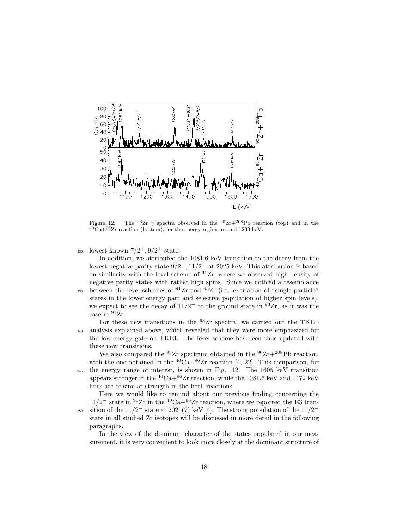

Figure 12: The <sup>93</sup>Zr  $\gamma$  spectra observed in the <sup>90</sup>Zr+<sup>208</sup>Pb reaction (top) and in the  ${}^{40}Ca+{}^{96}Zr$  reaction (bottom), for the energy region around 1200 keV.

330 lowest known  $7/2^+, 9/2^+$  state.

In addition, we attributed the 1081.6 keV transition to the decay from the lowest negative parity state 9*/*2 *<sup>−</sup>,* 11*/*2 *<sup>−</sup>* at 2025 keV. This attribution is based on similarity with the level scheme of  $91Zr$ , where we observed high density of negative parity states with rather high spins. Since we noticed a resemblance 335 between the level schemes of  ${}^{91}Zr$  and  ${}^{93}Zr$  (i.e. excitation of "single-particle" states in the lower energy part and selective population of higher spin levels), we expect to see the decay of  $11/2^-$  to the ground state in <sup>93</sup>Zr, as it was the case in <sup>91</sup>Zr.

For these new transitions in the  $93Zr$  spectra, we carried out the TKEL <sup>340</sup> analysis explained above, which revealed that they were more emphasized for the low-energy gate on TKEL. The level scheme has been thus updated with these new transitions.

We also compared the  $^{93}Zr$  spectrum obtained in the  $^{90}Zr+^{208}Pb$  reaction, with the one obtained in the  ${}^{40}Ca+{}^{96}Zr$  reaction [4, 22]. This comparison, for <sup>345</sup> the energy range of interest, is shown in Fig. 12. The 1605 keV transition appears stronger in the  ${}^{40}Ca+{}^{96}Zr$  reaction, while the 1081.6 keV and 1472 keV lines are of similar strength in the both reactions.

Here we would like to remind about our previous finding concerning the  $11/2^-$  state in <sup>95</sup>Zr in the <sup>40</sup>Ca+<sup>96</sup>Zr reaction, where we reported the E3 transso sition of the  $11/2^-$  state at 2025(7) keV [4]. The strong population of the  $11/2^$ state in all studied Zr isotopes will be discussed in more detail in the following paragraphs.

In the view of the dominant character of the states populated in our measurement, it is very convenient to look more closely at the dominant structure of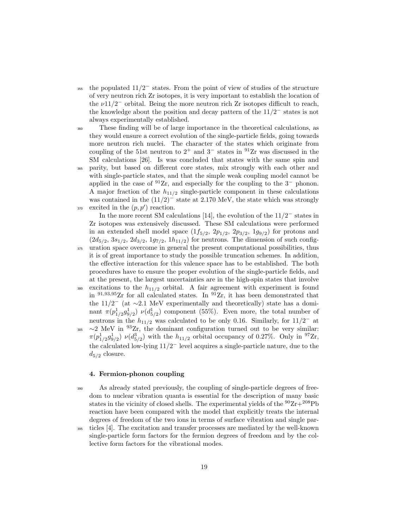- <sup>355</sup> the populated  $11/2^-$  states. From the point of view of studies of the structure of very neutron rich Zr isotopes, it is very important to establish the location of the  $\nu$ 11/2<sup>-</sup> orbital. Being the more neutron rich Zr isotopes difficult to reach, the knowledge about the position and decay pattern of the 11*/*2 *<sup>−</sup>* states is not always experimentally established.
- <sup>360</sup> These finding will be of large importance in the theoretical calculations, as they would ensure a correct evolution of the single-particle fields, going towards more neutron rich nuclei. The character of the states which originate from coupling of the 51st neutron to  $2^+$  and  $3^-$  states in  $9^1Zr$  was discussed in the SM calculations [26]. Is was concluded that states with the same spin and <sup>365</sup> parity, but based on different core states, mix strongly with each other and with single-particle states, and that the simple weak coupling model cannot be applied in the case of <sup>91</sup>Zr, and especially for the coupling to the 3*<sup>−</sup>* phonon. A major fraction of the  $h_{11/2}$  single-particle component in these calculations was contained in the  $(11/2)^{-}$  state at 2.170 MeV, the state which was strongly <sup>370</sup> excited in the  $(p, p')$  reaction.

In the more recent SM calculations [14], the evolution of the 11/2*<sup>−</sup>* states in Zr isotopes was extensively discussed. These SM calculations were performed in an extended shell model space  $(1f_{5/2}, 2p_{1/2}, 2p_{3/2}, 1g_{9/2})$  for protons and  $(2d_{5/2}, 3s_{1/2}, 2d_{3/2}, 1g_{7/2}, 1h_{11/2})$  for neutrons. The dimension of such config-<sup>375</sup> uration space overcome in general the present computational possibilities, thus it is of great importance to study the possible truncation schemes. In addition, the effective interaction for this valence space has to be established. The both procedures have to ensure the proper evolution of the single-particle fields, and

at the present, the largest uncertainties are in the high-spin states that involve 380 excitations to the  $h_{11/2}$  orbital. A fair agreement with experiment is found in  $91,93,95$ Zr for all calculated states. In  $91$ Zr, it has been demonstrated that the 11/2*<sup>−</sup>* (at *∼*2.1 MeV experimentally and theoretically) state has a dominant  $\pi(p_{1/2}^1 g_{9/2}^1) \nu(d_{5/2}^1)$  component (55%). Even more, the total number of neutrons in the  $h_{11/2}$  was calculated to be only 0.16. Similarly, for  $11/2^-$  at 385 ~2 MeV in <sup>93</sup>Zr, the dominant configuration turned out to be very similar:  $\pi(p_{1/2}^1 g_{9/2}^1) \nu(d_{5/2}^3)$  with the  $h_{11/2}$  orbital occupancy of 0.27%. Only in <sup>97</sup>Zr, the calculated low-lying 11*/*2 *<sup>−</sup>* level acquires a single-particle nature, due to the

## **4. Fermion-phonon coupling**

 $d_{5/2}$  closure.

- <sup>390</sup> As already stated previously, the coupling of single-particle degrees of freedom to nuclear vibration quanta is essential for the description of many basic states in the vicinity of closed shells. The experimental yields of the  $90Zr+208Pb$ reaction have been compared with the model that explicitly treats the internal degrees of freedom of the two ions in terms of surface vibration and single par-
- <sup>395</sup> ticles [4]. The excitation and transfer processes are mediated by the well-known single-particle form factors for the fermion degrees of freedom and by the collective form factors for the vibrational modes.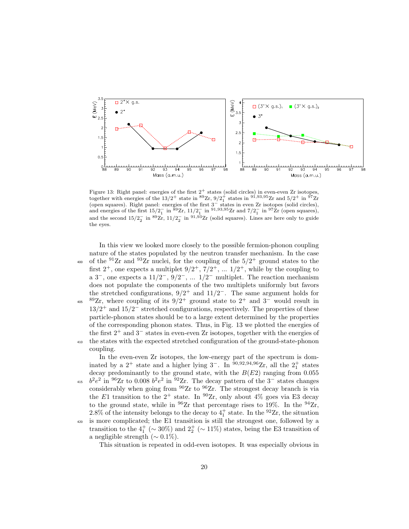

Figure 13: Right panel: energies of the first  $2^+$  states (solid circles) in even-even Zr isotopes, together with energies of the  $13/2^+$  state in  $89$ Zr,  $9/2^+$  states in  $9^1,93,95$ Zr and  $5/2^+$  in  $9^7$ Zr for squares). Right panel: energies of the first 3<sup>−</sup> states in even Zr isotopes (solid circles), (open squares). Right panel: energies of the first 3<sup>−</sup> states in even Zr isotopes (solid circles), and energies of the first  $15/2^-_1$  in  ${}^{89}Zr$ ,  $11/2^-_1$  in  ${}^{91,93,95}Zr$  and  $7/2^-_1$  in  ${}^{97}Zr$  (open squares), and the second  $15/2$ <sup>-</sup> in <sup>89</sup>Zr,  $11/2$ <sup>-</sup> in <sup>91,93</sup>Zr (solid squares). Lines are here only to guide the eyes.

In this view we looked more closely to the possible fermion-phonon coupling nature of the states populated by the neutron transfer mechanism. In the case <sup>400</sup> of the <sup>91</sup>Zr and <sup>93</sup>Zr nuclei, for the coupling of the  $5/2^+$  ground states to the first  $2^+$ , one expects a multiplet  $9/2^+$ ,  $7/2^+$ , ...  $1/2^+$ , while by the coupling to a 3*−*, one expects a 11*/*2 *<sup>−</sup>*, 9*/*2 *<sup>−</sup>*, ... 1*/*2 *<sup>−</sup>* multiplet. The reaction mechanism does not populate the components of the two multiplets uniformly but favors the stretched configurations,  $9/2^+$  and  $11/2^-$ . The same argument holds for <sup>89</sup>Zr, where coupling of its 9/2<sup>+</sup> ground state to 2<sup>+</sup> and 3<sup>-</sup> would result in 13*/*2 <sup>+</sup> and 15*/*2 *<sup>−</sup>* stretched configurations, respectively. The properties of these particle-phonon states should be to a large extent determined by the properties of the corresponding phonon states. Thus, in Fig. 13 we plotted the energies of the first 2<sup>+</sup> and 3*<sup>−</sup>* states in even-even Zr isotopes, together with the energies of <sup>410</sup> the states with the expected stretched configuration of the ground-state-phonon coupling.

In the even-even Zr isotopes, the low-energy part of the spectrum is dominated by a  $2^+$  state and a higher lying  $3^-$ . In <sup>90,92,94,96</sup>Zr, all the  $2^+_1$  states decay predominantly to the ground state, with the *B*(*E*2) ranging from 0.055 <sup>415</sup>  $b^2e^2$  in <sup>96</sup>Zr to 0.008  $b^2e^2$  in <sup>92</sup>Zr. The decay pattern of the 3<sup>-</sup> states changes considerably when going from  $90Zr$  to  $96Zr$ . The strongest decay branch is via the *E*1 transition to the  $2^+$  state. In <sup>90</sup>Zr, only about 4% goes via E3 decay to the ground state, while in  $96Zr$  that percentage rises to 19%. In the  $94Zr$ , 2.8% of the intensity belongs to the decay to  $4<sup>+</sup><sub>1</sub>$  state. In the <sup>92</sup>Zr, the situation <sup>420</sup> is more complicated; the E1 transition is still the strongest one, followed by a transition to the  $4^+_1$  ( $\sim 30\%$ ) and  $2^+_2$  ( $\sim 11\%$ ) states, being the E3 transition of a negligible strength  $(\sim 0.1\%)$ .

This situation is repeated in odd-even isotopes. It was especially obvious in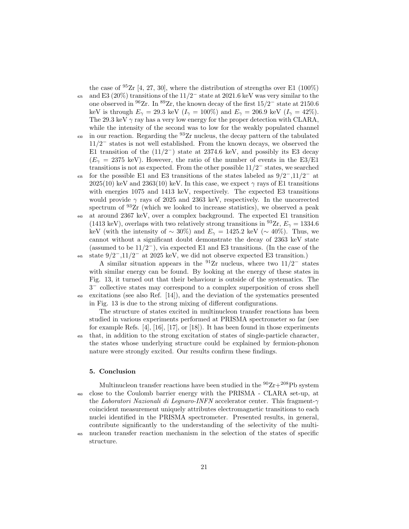the case of  $95$ Zr [4, 27, 30], where the distribution of strengths over E1 (100%)

- <sup>425</sup> and E3 (20%) transitions of the 11/2<sup>−</sup> state at 2021.6 keV was very similar to the one observed in <sup>96</sup>Zr. In <sup>89</sup>Zr, the known decay of the first 15*/*2 *<sup>−</sup>* state at 2150*.*6 keV is through  $E_{\gamma} = 29.3$  keV ( $I_{\gamma} = 100\%$ ) and  $E_{\gamma} = 206.9$  keV ( $I_{\gamma} = 42\%$ ). The 29.3 keV  $\gamma$  ray has a very low energy for the proper detection with CLARA, while the intensity of the second was to low for the weakly populated channel <sup>430</sup> in our reaction. Regarding the <sup>93</sup>Zr nucleus, the decay pattern of the tabulated
- 11*/*2 *<sup>−</sup>* states is not well established. From the known decays, we observed the E1 transition of the  $(11/2^-)$  state at 2374.6 keV, and possibly its E3 decay  $(E_{\gamma} = 2375 \text{ keV})$ . However, the ratio of the number of events in the E3/E1 transitions is not as expected. From the other possible 11/2*<sup>−</sup>* states, we searched
- for the possible E1 and E3 transitions of the states labeled as 9/2*−*,11/2*<sup>−</sup>* <sup>435</sup> at 2025(10) keV and 2363(10) keV. In this case, we expect  $\gamma$  rays of E1 transitions with energies 1075 and 1413 keV, respectively. The expected E3 transitions would provide  $\gamma$  rays of 2025 and 2363 keV, respectively. In the uncorrected spectrum of  $93Zr$  (which we looked to increase statistics), we observed a peak <sup>440</sup> at around 2367 keV, over a complex background. The expected E1 transition
- (1413 keV), overlaps with two relatively strong transitions in <sup>93</sup>Zr,  $E_\gamma = 1334.6$ keV (with the intensity of  $\sim 30\%$ ) and  $E_{\gamma} = 1425.2$  keV ( $\sim 40\%$ ). Thus, we cannot without a significant doubt demonstrate the decay of 2363 keV state (assumed to be  $11/2^-$ ), via expected E1 and E3 transitions. (In the case of the state 9/2*−*,11/2*<sup>−</sup>* <sup>445</sup> at 2025 keV, we did not observe expected E3 transition.)

A similar situation appears in the <sup>91</sup>Zr nucleus, where two 11/2*<sup>−</sup>* states with similar energy can be found. By looking at the energy of these states in Fig. 13, it turned out that their behaviour is outside of the systematics. The 3 *<sup>−</sup>* collective states may correspond to a complex superposition of cross shell <sup>450</sup> excitations (see also Ref. [14]), and the deviation of the systematics presented in Fig. 13 is due to the strong mixing of different configurations.

The structure of states excited in multinucleon transfer reactions has been studied in various experiments performed at PRISMA spectrometer so far (see for example Refs.  $[4]$ ,  $[16]$ ,  $[17]$ , or  $[18]$ ). It has been found in those experiments <sup>455</sup> that, in addition to the strong excitation of states of single-particle character, the states whose underlying structure could be explained by fermion-phonon nature were strongly excited. Our results confirm these findings.

## **5. Conclusion**

Multinucleon transfer reactions have been studied in the  $90Zr+208Pb$  system <sup>460</sup> close to the Coulomb barrier energy with the PRISMA - CLARA set-up, at the *Laboratori Nazionali di Legnaro-INFN* accelerator center. This fragment-*γ* coincident measurement uniquely attributes electromagnetic transitions to each nuclei identified in the PRISMA spectrometer. Presented results, in general, contribute significantly to the understanding of the selectivity of the multi-

<sup>465</sup> nucleon transfer reaction mechanism in the selection of the states of specific structure.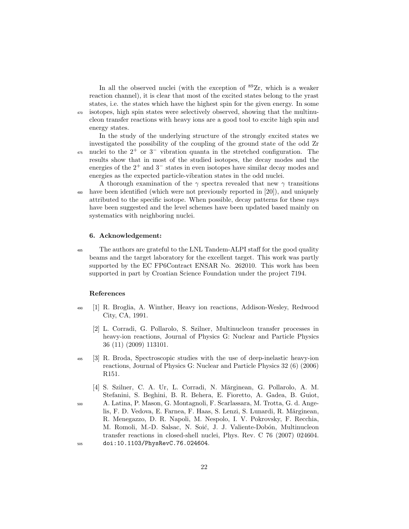In all the observed nuclei (with the exception of  $89Zr$ , which is a weaker reaction channel), it is clear that most of the excited states belong to the yrast states, i.e. the states which have the highest spin for the given energy. In some <sup>470</sup> isotopes, high spin states were selectively observed, showing that the multinucleon transfer reactions with heavy ions are a good tool to excite high spin and energy states.

In the study of the underlying structure of the strongly excited states we investigated the possibility of the coupling of the ground state of the odd Zr <sup>475</sup> nuclei to the 2<sup>+</sup> or 3<sup>−</sup> vibration quanta in the stretched configuration. The results show that in most of the studied isotopes, the decay modes and the energies of the 2<sup>+</sup> and 3*<sup>−</sup>* states in even isotopes have similar decay modes and energies as the expected particle-vibration states in the odd nuclei.

A thorough examination of the  $\gamma$  spectra revealed that new  $\gamma$  transitions <sup>480</sup> have been identified (which were not previously reported in [20]), and uniquely attributed to the specific isotope. When possible, decay patterns for these rays have been suggested and the level schemes have been updated based mainly on systematics with neighboring nuclei.

## **6. Acknowledgement:**

<sup>485</sup> The authors are grateful to the LNL Tandem-ALPI staff for the good quality beams and the target laboratory for the excellent target. This work was partly supported by the EC FP6Contract ENSAR No. 262010. This work has been supported in part by Croatian Science Foundation under the project 7194.

## **References**

- <sup>490</sup> [1] R. Broglia, A. Winther, Heavy ion reactions, Addison-Wesley, Redwood City, CA, 1991.
	- [2] L. Corradi, G. Pollarolo, S. Szilner, Multinucleon transfer processes in heavy-ion reactions, Journal of Physics G: Nuclear and Particle Physics 36 (11) (2009) 113101.
- <sup>495</sup> [3] R. Broda, Spectroscopic studies with the use of deep-inelastic heavy-ion reactions, Journal of Physics G: Nuclear and Particle Physics 32 (6) (2006) R151.
- [4] S. Szilner, C. A. Ur, L. Corradi, N. Mărginean, G. Pollarolo, A. M. Stefanini, S. Beghini, B. R. Behera, E. Fioretto, A. Gadea, B. Guiot, <sup>500</sup> A. Latina, P. Mason, G. Montagnoli, F. Scarlassara, M. Trotta, G. d. Ange-
- lis, F. D. Vedova, E. Farnea, F. Haas, S. Lenzi, S. Lunardi, R. Mărginean, R. Menegazzo, D. R. Napoli, M. Nespolo, I. V. Pokrovsky, F. Recchia, M. Romoli, M.-D. Salsac, N. Soić, J. J. Valiente-Dobón, Multinucleon transfer reactions in closed-shell nuclei, Phys. Rev. C 76 (2007) 024604. <sup>505</sup> doi:10.1103/PhysRevC.76.024604.
	- 22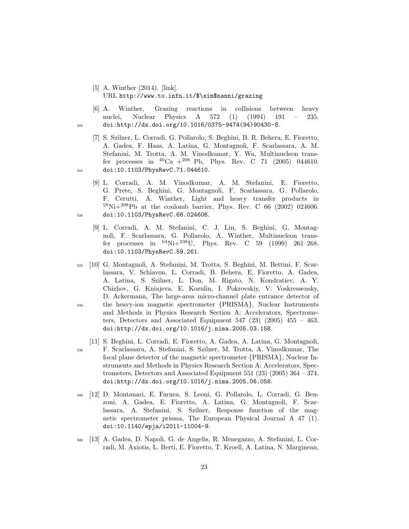- [5] A. Winther (2014). [link]. URL http://www.to.infn.it/\$\sim\$nanni/grazing
- [6] A. Winther, Grazing reactions in collisions between heavy nuclei, Nuclear Physics A 572 (1) (1994) 191 – 235. <sup>510</sup> doi:http://dx.doi.org/10.1016/0375-9474(94)90430-8.
- [7] S. Szilner, L. Corradi, G. Pollarolo, S. Beghini, B. R. Behera, E. Fioretto, A. Gadea, F. Haas, A. Latina, G. Montagnoli, F. Scarlassara, A. M. Stefanini, M. Trotta, A. M. Vinodkumar, Y. Wu, Multinucleon transfer processes in  ${}^{40}Ca + {}^{208}Pb$ , Phys. Rev. C 71 (2005) 044610. <sup>515</sup> doi:10.1103/PhysRevC.71.044610.
- [8] L. Corradi, A. M. Vinodkumar, A. M. Stefanini, E. Fioretto, G. Prete, S. Beghini, G. Montagnoli, F. Scarlassara, G. Pollarolo, F. Cerutti, A. Winther, Light and heavy transfer products in  $^{58}\text{Ni}+^{208}\text{Pb}$  at the coulomb barrier, Phys. Rev. C 66 (2002) 024606. <sup>520</sup> doi:10.1103/PhysRevC.66.024606.
	- [9] L. Corradi, A. M. Stefanini, C. J. Lin, S. Beghini, G. Montagnoli, F. Scarlassara, G. Pollarolo, A. Winther, Multinucleon transfer processes in  $^{64}$ Ni+ $^{238}$ U, Phys. Rev. C 59 (1999) 261–268. doi:10.1103/PhysRevC.59.261.
- <sup>525</sup> [10] G. Montagnoli, A. Stefanini, M. Trotta, S. Beghini, M. Bettini, F. Scarlassara, V. Schiavon, L. Corradi, B. Behera, E. Fioretto, A. Gadea, A. Latina, S. Szilner, L. Don, M. Rigato, N. Kondratiev, A. Y. Chizhov, G. Kniajeva, E. Kozulin, I. Pokrovskiy, V. Voskressensky, D. Ackermann, The large-area micro-channel plate entrance detector of <sup>530</sup> the heavy-ion magnetic spectrometer *{*PRISMA*}*, Nuclear Instruments and Methods in Physics Research Section A: Accelerators, Spectrometers, Detectors and Associated Equipment  $547$  (23) (2005)  $455 - 463$ . doi:http://dx.doi.org/10.1016/j.nima.2005.03.158.
- [11] S. Beghini, L. Corradi, E. Fioretto, A. Gadea, A. Latina, G. Montagnoli, <sup>535</sup> F. Scarlassara, A. Stefanini, S. Szilner, M. Trotta, A. Vinodkumar, The focal plane detector of the magnetic spectrometer *{*PRISMA*}*, Nuclear Instruments and Methods in Physics Research Section A: Accelerators, Spectrometers, Detectors and Associated Equipment 551 (23) (2005) 364 – 374. doi:http://dx.doi.org/10.1016/j.nima.2005.06.058.
- <sup>540</sup> [12] D. Montanari, E. Farnea, S. Leoni, G. Pollarolo, L. Corradi, G. Benzoni, A. Gadea, E. Fioretto, A. Latina, G. Montagnoli, F. Scarlassara, A. Stefanini, S. Szilner, Response function of the magnetic spectrometer prisma, The European Physical Journal A 47 (1). doi:10.1140/epja/i2011-11004-9.
- <sup>545</sup> [13] A. Gadea, D. Napoli, G. de Angelis, R. Menegazzo, A. Stefanini, L. Corradi, M. Axiotis, L. Berti, E. Fioretto, T. Kroell, A. Latina, N. Marginean,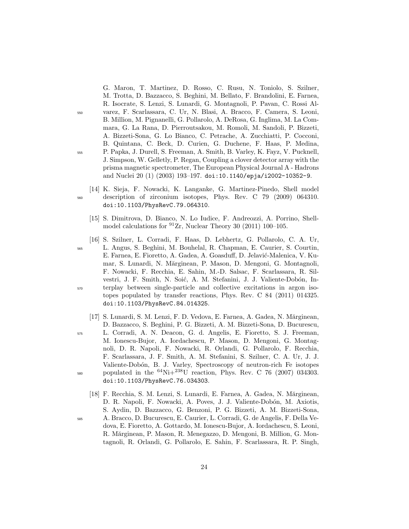G. Maron, T. Martinez, D. Rosso, C. Rusu, N. Toniolo, S. Szilner, M. Trotta, D. Bazzacco, S. Beghini, M. Bellato, F. Brandolini, E. Farnea, R. Isocrate, S. Lenzi, S. Lunardi, G. Montagnoli, P. Pavan, C. Rossi Al-<sup>550</sup> varez, F. Scarlassara, C. Ur, N. Blasi, A. Bracco, F. Camera, S. Leoni, B. Million, M. Pignanelli, G. Pollarolo, A. DeRosa, G. Inglima, M. La Commara, G. La Rana, D. Pierroutsakou, M. Romoli, M. Sandoli, P. Bizzeti, A. Bizzeti-Sona, G. Lo Bianco, C. Petrache, A. Zucchiatti, P. Cocconi, B. Quintana, C. Beck, D. Curien, G. Duchene, F. Haas, P. Medina, <sup>555</sup> P. Papka, J. Durell, S. Freeman, A. Smith, B. Varley, K. Fayz, V. Pucknell, J. Simpson, W. Gelletly, P. Regan, Coupling a clover detector array with the prisma magnetic spectrometer, The European Physical Journal A - Hadrons and Nuclei 20 (1) (2003) 193–197. doi:10.1140/epja/i2002-10352-9.

- [14] K. Sieja, F. Nowacki, K. Langanke, G. Martinez-Pinedo, Shell model <sup>560</sup> description of zirconium isotopes, Phys. Rev. C 79 (2009) 064310. doi:10.1103/PhysRevC.79.064310.
	- [15] S. Dimitrova, D. Bianco, N. Lo Iudice, F. Andreozzi, A. Porrino, Shellmodel calculations for  ${}^{91}Zr$ , Nuclear Theory 30 (2011) 100–105.

- [16] S. Szilner, L. Corradi, F. Haas, D. Lebhertz, G. Pollarolo, C. A. Ur, <sup>565</sup> L. Angus, S. Beghini, M. Bouhelal, R. Chapman, E. Caurier, S. Courtin, E. Farnea, E. Fioretto, A. Gadea, A. Goasduff, D. Jelavić-Malenica, V. Kumar, S. Lunardi, N. Mărginean, P. Mason, D. Mengoni, G. Montagnoli, F. Nowacki, F. Recchia, E. Sahin, M.-D. Salsac, F. Scarlassara, R. Silvestri, J. F. Smith, N. Soić, A. M. Stefanini, J. J. Valiente-Dobón, In-<sup>570</sup> terplay between single-particle and collective excitations in argon isotopes populated by transfer reactions, Phys. Rev. C 84 (2011) 014325. doi:10.1103/PhysRevC.84.014325.
	- [17] S. Lunardi, S. M. Lenzi, F. D. Vedova, E. Farnea, A. Gadea, N. Mărginean, D. Bazzacco, S. Beghini, P. G. Bizzeti, A. M. Bizzeti-Sona, D. Bucurescu,
- <sup>575</sup> L. Corradi, A. N. Deacon, G. d. Angelis, E. Fioretto, S. J. Freeman, M. Ionescu-Bujor, A. Iordachescu, P. Mason, D. Mengoni, G. Montagnoli, D. R. Napoli, F. Nowacki, R. Orlandi, G. Pollarolo, F. Recchia, F. Scarlassara, J. F. Smith, A. M. Stefanini, S. Szilner, C. A. Ur, J. J. Valiente-Dobón, B. J. Varley, Spectroscopy of neutron-rich Fe isotopes  $_{580}$  populated in the  $^{64}$ Ni+ $^{238}$ U reaction, Phys. Rev. C 76 (2007) 034303. doi:10.1103/PhysRevC.76.034303.
- [18] F. Recchia, S. M. Lenzi, S. Lunardi, E. Farnea, A. Gadea, N. Mărginean, D. R. Napoli, F. Nowacki, A. Poves, J. J. Valiente-Dobón, M. Axiotis, S. Aydin, D. Bazzacco, G. Benzoni, P. G. Bizzeti, A. M. Bizzeti-Sona, <sup>585</sup> A. Bracco, D. Bucurescu, E. Caurier, L. Corradi, G. de Angelis, F. Della Ve
	- dova, E. Fioretto, A. Gottardo, M. Ionescu-Bujor, A. Iordachescu, S. Leoni, R. Mărginean, P. Mason, R. Menegazzo, D. Mengoni, B. Million, G. Montagnoli, R. Orlandi, G. Pollarolo, E. Sahin, F. Scarlassara, R. P. Singh,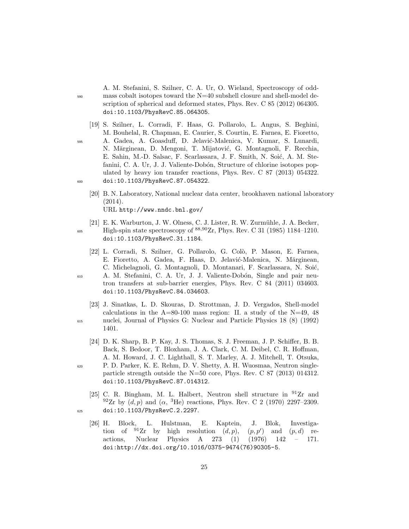A. M. Stefanini, S. Szilner, C. A. Ur, O. Wieland, Spectroscopy of odd-<sup>590</sup> mass cobalt isotopes toward the N=40 subshell closure and shell-model description of spherical and deformed states, Phys. Rev. C 85 (2012) 064305. doi:10.1103/PhysRevC.85.064305.

- [19] S. Szilner, L. Corradi, F. Haas, G. Pollarolo, L. Angus, S. Beghini, M. Bouhelal, R. Chapman, E. Caurier, S. Courtin, E. Farnea, E. Fioretto, <sup>595</sup> A. Gadea, A. Goasduff, D. Jelavi´c-Malenica, V. Kumar, S. Lunardi, N. Mărginean, D. Mengoni, T. Mijatović, G. Montagnoli, F. Recchia, E. Sahin, M.-D. Salsac, F. Scarlassara, J. F. Smith, N. Soić, A. M. Stefanini, C. A. Ur, J. J. Valiente-Dobón, Structure of chlorine isotopes populated by heavy ion transfer reactions, Phys. Rev. C 87 (2013) 054322. <sup>600</sup> doi:10.1103/PhysRevC.87.054322.
	- [20] B. N. Laboratory, National nuclear data center, brookhaven national laboratory (2014). URL http://www.nndc.bnl.gov/
- [21] E. K. Warburton, J. W. Olness, C. J. Lister, R. W. Zurmühle, J. A. Becker, <sup>605</sup> High-spin state spectroscopy of <sup>88,90</sup>Zr, Phys. Rev. C 31 (1985) 1184–1210. doi:10.1103/PhysRevC.31.1184.
	- [22] L. Corradi, S. Szilner, G. Pollarolo, G. Colò, P. Mason, E. Farnea, E. Fioretto, A. Gadea, F. Haas, D. Jelavić-Malenica, N. Mărginean, C. Michelagnoli, G. Montagnoli, D. Montanari, F. Scarlassara, N. Soić,

- <sup>610</sup> A. M. Stefanini, C. A. Ur, J. J. Valiente-Dob´on, Single and pair neutron transfers at sub-barrier energies, Phys. Rev. C 84 (2011) 034603. doi:10.1103/PhysRevC.84.034603.
- [23] J. Sinatkas, L. D. Skouras, D. Strottman, J. D. Vergados, Shell-model calculations in the  $A=80-100$  mass region: II. a study of the N=49, 48 <sup>615</sup> nuclei, Journal of Physics G: Nuclear and Particle Physics 18 (8) (1992) 1401.
- [24] D. K. Sharp, B. P. Kay, J. S. Thomas, S. J. Freeman, J. P. Schiffer, B. B. Back, S. Bedoor, T. Bloxham, J. A. Clark, C. M. Deibel, C. R. Hoffman, A. M. Howard, J. C. Lighthall, S. T. Marley, A. J. Mitchell, T. Otsuka, <sup>620</sup> P. D. Parker, K. E. Rehm, D. V. Shetty, A. H. Wuosmaa, Neutron singleparticle strength outside the N=50 core, Phys. Rev. C 87 (2013) 014312. doi:10.1103/PhysRevC.87.014312.
- [25] C. R. Bingham, M. L. Halbert, Neutron shell structure in  $^{91}Zr$  and  $^{92}Zr$  by  $(d, p)$  and  $(\alpha, {}^{3}He)$  reactions, Phys. Rev. C 2 (1970) 2297-2309. <sup>625</sup> doi:10.1103/PhysRevC.2.2297.
	- [26] H. Block, L. Hulstman, E. Kaptein, J. Blok, Investigation of  $91Zr$  by high resolution  $(d, p)$ ,  $(p, p')$ ) and (*p, d*) reactions, Nuclear Physics A 273 (1) (1976) 142 – 171. doi:http://dx.doi.org/10.1016/0375-9474(76)90305-5.